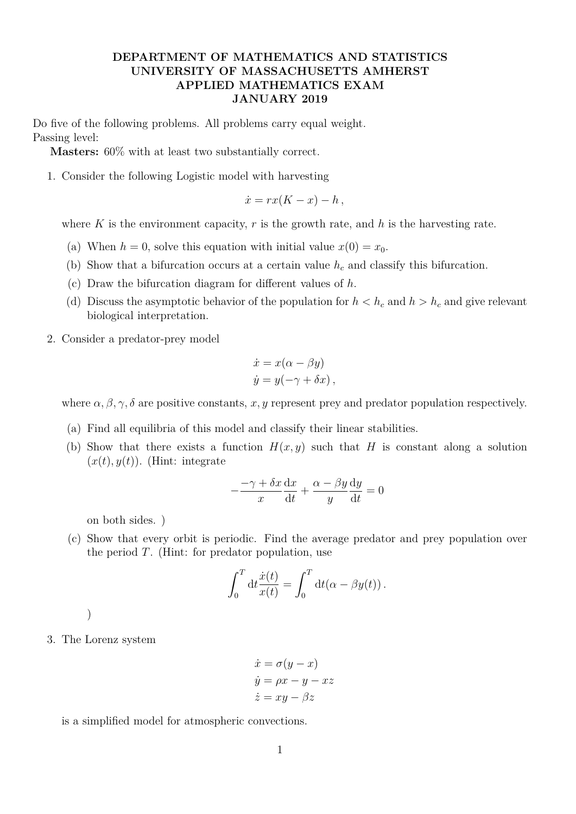## **DEPARTMENT OF MATHEMATICS AND STATISTICS UNIVERSITY OF MASSACHUSETTS AMHERST APPLIED MATHEMATICS EXAM JANUARY 2019**

Do five of the following problems. All problems carry equal weight. Passing level:

**Masters:** 60% with at least two substantially correct.

1. Consider the following Logistic model with harvesting

$$
\dot{x} = rx(K - x) - h,
$$

where  $K$  is the environment capacity,  $r$  is the growth rate, and  $h$  is the harvesting rate.

- (a) When  $h = 0$ , solve this equation with initial value  $x(0) = x_0$ .
- (b) Show that a bifurcation occurs at a certain value *h<sup>c</sup>* and classify this bifurcation.
- (c) Draw the bifurcation diagram for different values of *h*.
- (d) Discuss the asymptotic behavior of the population for  $h < h_c$  and  $h > h_c$  and give relevant biological interpretation.
- 2. Consider a predator-prey model

$$
\dot{x} = x(\alpha - \beta y) \n\dot{y} = y(-\gamma + \delta x),
$$

where  $\alpha, \beta, \gamma, \delta$  are positive constants, *x*, *y* represent prey and predator population respectively.

- (a) Find all equilibria of this model and classify their linear stabilities.
- (b) Show that there exists a function  $H(x, y)$  such that *H* is constant along a solution  $(x(t), y(t))$ . (Hint: integrate

$$
-\frac{-\gamma + \delta x}{x}\frac{dx}{dt} + \frac{\alpha - \beta y}{y}\frac{dy}{dt} = 0
$$

on both sides. )

(c) Show that every orbit is periodic. Find the average predator and prey population over the period *T*. (Hint: for predator population, use

$$
\int_0^T dt \frac{\dot{x}(t)}{x(t)} = \int_0^T dt (\alpha - \beta y(t)).
$$

)

3. The Lorenz system

$$
\begin{aligned}\n\dot{x} &= \sigma(y - x) \\
\dot{y} &= \rho x - y - xz \\
\dot{z} &= xy - \beta z\n\end{aligned}
$$

is a simplified model for atmospheric convections.